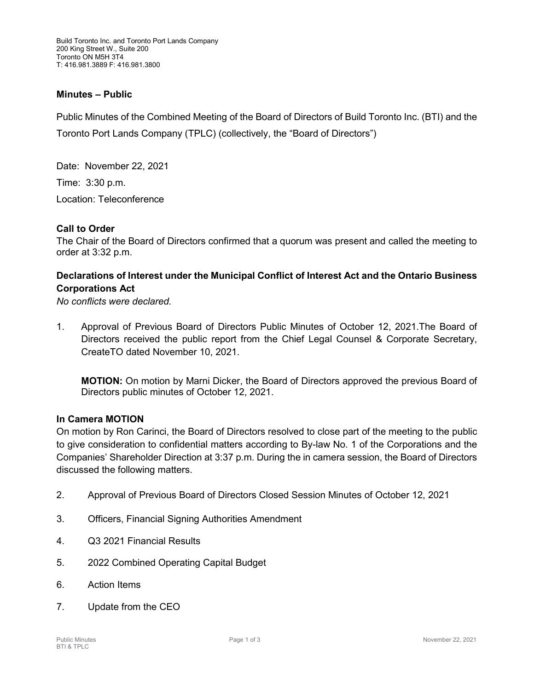### **Minutes – Public**

Public Minutes of the Combined Meeting of the Board of Directors of Build Toronto Inc. (BTI) and the Toronto Port Lands Company (TPLC) (collectively, the "Board of Directors")

Date: November 22, 2021 Time: 3:30 p.m. Location: Teleconference

#### **Call to Order**

The Chair of the Board of Directors confirmed that a quorum was present and called the meeting to order at 3:32 p.m.

# **Declarations of Interest under the Municipal Conflict of Interest Act and the Ontario Business Corporations Act**

*No conflicts were declared.*

1. Approval of Previous Board of Directors Public Minutes of October 12, 2021.The Board of Directors received the public report from the Chief Legal Counsel & Corporate Secretary, CreateTO dated November 10, 2021.

**MOTION:** On motion by Marni Dicker, the Board of Directors approved the previous Board of Directors public minutes of October 12, 2021.

#### **In Camera MOTION**

On motion by Ron Carinci, the Board of Directors resolved to close part of the meeting to the public to give consideration to confidential matters according to By-law No. 1 of the Corporations and the Companies' Shareholder Direction at 3:37 p.m. During the in camera session, the Board of Directors discussed the following matters.

- 2. Approval of Previous Board of Directors Closed Session Minutes of October 12, 2021
- 3. Officers, Financial Signing Authorities Amendment
- 4. Q3 2021 Financial Results
- 5. 2022 Combined Operating Capital Budget
- 6. Action Items
- 7. Update from the CEO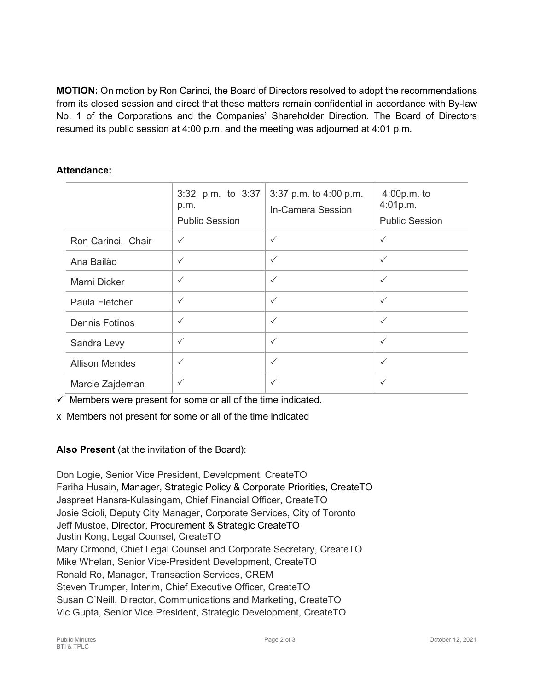**MOTION:** On motion by Ron Carinci, the Board of Directors resolved to adopt the recommendations from its closed session and direct that these matters remain confidential in accordance with By-law No. 1 of the Corporations and the Companies' Shareholder Direction. The Board of Directors resumed its public session at 4:00 p.m. and the meeting was adjourned at 4:01 p.m.

# **Attendance:**

|                       | 3:32 p.m. to 3:37<br>p.m.<br><b>Public Session</b> | 3:37 p.m. to 4:00 p.m.<br>In-Camera Session | 4:00p.m. to<br>4:01p.m.<br><b>Public Session</b> |
|-----------------------|----------------------------------------------------|---------------------------------------------|--------------------------------------------------|
| Ron Carinci, Chair    | $\checkmark$                                       | $\checkmark$                                | $\checkmark$                                     |
| Ana Bailão            | $\checkmark$                                       | $\checkmark$                                | $\checkmark$                                     |
| Marni Dicker          | $\checkmark$                                       | $\checkmark$                                | $\checkmark$                                     |
| Paula Fletcher        | $\checkmark$                                       | $\checkmark$                                | $\checkmark$                                     |
| <b>Dennis Fotinos</b> | $\checkmark$                                       | $\checkmark$                                | $\checkmark$                                     |
| Sandra Levy           | $\checkmark$                                       | $\checkmark$                                | $\checkmark$                                     |
| <b>Allison Mendes</b> | $\checkmark$                                       | $\checkmark$                                | $\checkmark$                                     |
| Marcie Zajdeman       | $\checkmark$                                       | $\checkmark$                                | $\checkmark$                                     |

 $\checkmark$  Members were present for some or all of the time indicated.

x Members not present for some or all of the time indicated

**Also Present** (at the invitation of the Board):

Don Logie, Senior Vice President, Development, CreateTO Fariha Husain, Manager, Strategic Policy & Corporate Priorities, CreateTO Jaspreet Hansra-Kulasingam, Chief Financial Officer, CreateTO Josie Scioli, Deputy City Manager, Corporate Services, City of Toronto Jeff Mustoe, Director, Procurement & Strategic CreateTO Justin Kong, Legal Counsel, CreateTO Mary Ormond, Chief Legal Counsel and Corporate Secretary, CreateTO Mike Whelan, Senior Vice-President Development, CreateTO Ronald Ro, Manager, Transaction Services, CREM Steven Trumper, Interim, Chief Executive Officer, CreateTO Susan O'Neill, Director, Communications and Marketing, CreateTO Vic Gupta, Senior Vice President, Strategic Development, CreateTO